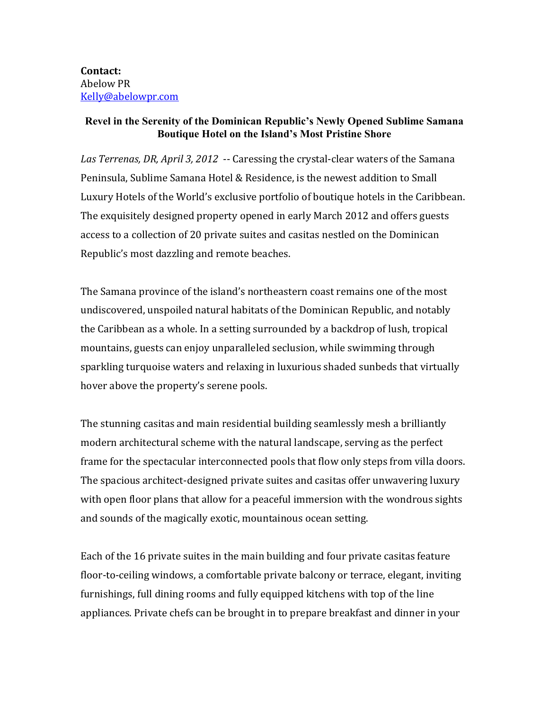**Contact:** Abelow PR Kelly@abelowpr.com

## **Revel in the Serenity of the Dominican Republic's Newly Opened Sublime Samana Boutique Hotel on the Island's Most Pristine Shore**

Las Terrenas, DR, April 3, 2012 -- Caressing the crystal-clear waters of the Samana Peninsula, Sublime Samana Hotel & Residence, is the newest addition to Small Luxury Hotels of the World's exclusive portfolio of boutique hotels in the Caribbean. The exquisitely designed property opened in early March 2012 and offers guests access to a collection of 20 private suites and casitas nestled on the Dominican Republic's most dazzling and remote beaches.

The Samana province of the island's northeastern coast remains one of the most undiscovered, unspoiled natural habitats of the Dominican Republic, and notably the Caribbean as a whole. In a setting surrounded by a backdrop of lush, tropical mountains, guests can enjoy unparalleled seclusion, while swimming through sparkling turquoise waters and relaxing in luxurious shaded sunbeds that virtually hover above the property's serene pools.

The stunning casitas and main residential building seamlessly mesh a brilliantly modern architectural scheme with the natural landscape, serving as the perfect frame for the spectacular interconnected pools that flow only steps from villa doors. The spacious architect-designed private suites and casitas offer unwavering luxury with open floor plans that allow for a peaceful immersion with the wondrous sights and sounds of the magically exotic, mountainous ocean setting.

Each of the 16 private suites in the main building and four private casitas feature floor-to-ceiling windows, a comfortable private balcony or terrace, elegant, inviting furnishings, full dining rooms and fully equipped kitchens with top of the line appliances. Private chefs can be brought in to prepare breakfast and dinner in your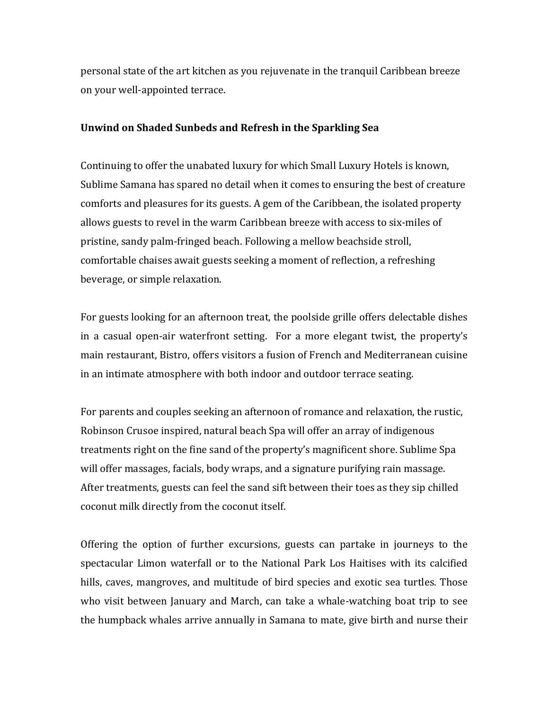personal state of the art kitchen as you rejuvenate in the tranquil Caribbean breeze on your well-appointed terrace.

## **Unwind on Shaded Sunbeds and Refresh in the Sparkling Sea**

Continuing to offer the unabated luxury for which Small Luxury Hotels is known, Sublime Samana has spared no detail when it comes to ensuring the best of creature comforts and pleasures for its guests. A gem of the Caribbean, the isolated property allows guests to revel in the warm Caribbean breeze with access to six-miles of pristine, sandy palm-fringed beach. Following a mellow beachside stroll, comfortable chaises await guests seeking a moment of reflection, a refreshing beverage, or simple relaxation.

For guests looking for an afternoon treat, the poolside grille offers delectable dishes in a casual open-air waterfront setting. For a more elegant twist, the property's main restaurant, Bistro, offers visitors a fusion of French and Mediterranean cuisine in an intimate atmosphere with both indoor and outdoor terrace seating.

For parents and couples seeking an afternoon of romance and relaxation, the rustic, Robinson Crusoe inspired, natural beach Spa will offer an array of indigenous treatments right on the fine sand of the property's magnificent shore. Sublime Spa will offer massages, facials, body wraps, and a signature purifying rain massage. After treatments, guests can feel the sand sift between their toes as they sip chilled coconut milk directly from the coconut itself.

Offering the option of further excursions, guests can partake in journeys to the spectacular Limon waterfall or to the National Park Los Haitises with its calcified hills, caves, mangroves, and multitude of bird species and exotic sea turtles. Those who visit between January and March, can take a whale-watching boat trip to see the humpback whales arrive annually in Samana to mate, give birth and nurse their